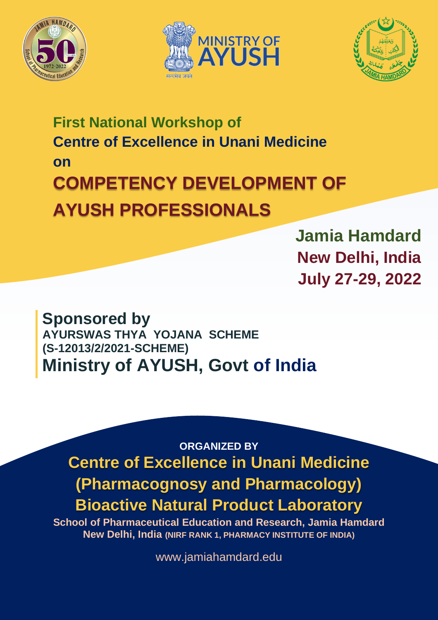





# **First National Workshop of Centre of Excellence in Unani Medicine on COMPETENCY DEVELOPMENT OF AYUSH PROFESSIONALS**

**Jamia Hamdard New Delhi, India July 27-29, 2022**

**Sponsored by AYURSWAS THYA YOJANA SCHEME (S-12013/2/2021-SCHEME) Ministry of AYUSH, Govt of India**

**ORGANIZED BY Centre of Excellence in Unani Medicine (Pharmacognosy and Pharmacology) Bioactive Natural Product Laboratory**

**School of Pharmaceutical Education and Research, Jamia Hamdard New Delhi, India (NIRF RANK 1, PHARMACY INSTITUTE OF INDIA)**

www.jamiahamdard.edu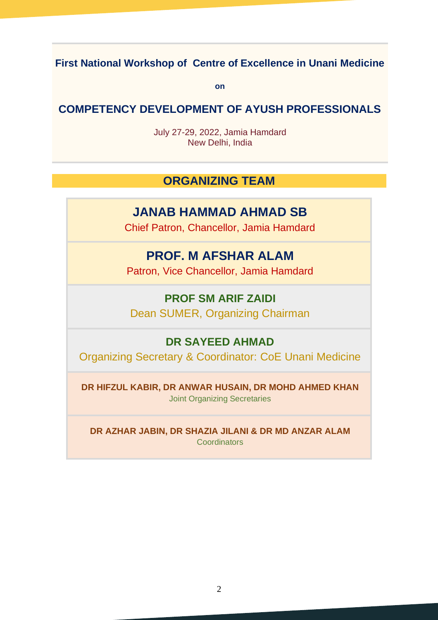# **First National Workshop of Centre of Excellence in Unani Medicine**

**on**

#### **COMPETENCY DEVELOPMENT OF AYUSH PROFESSIONALS**

July 27-29, 2022, Jamia Hamdard New Delhi, India

#### **ORGANIZING TEAM**

## **JANAB HAMMAD AHMAD SB**

Chief Patron, Chancellor, Jamia Hamdard

## **PROF. M AFSHAR ALAM**

Patron, Vice Chancellor, Jamia Hamdard

## **PROF SM ARIF ZAIDI** Dean SUMER, Organizing Chairman

#### **DR SAYEED AHMAD**

Organizing Secretary & Coordinator: CoE Unani Medicine

**DR HIFZUL KABIR, DR ANWAR HUSAIN, DR MOHD AHMED KHAN** Joint Organizing Secretaries

**DR AZHAR JABIN, DR SHAZIA JILANI & DR MD ANZAR ALAM Coordinators**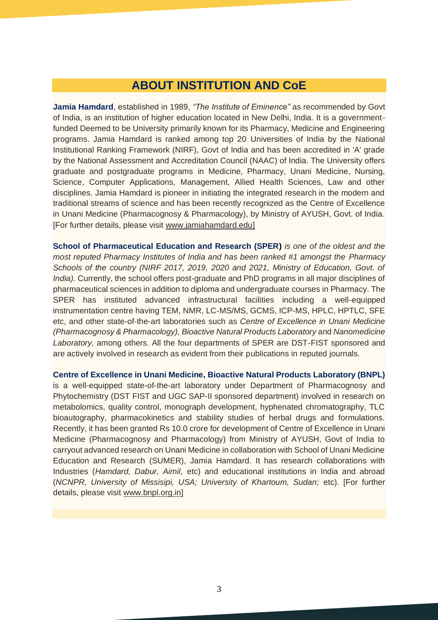### **ABOUT INSTITUTION AND CoE**

**Jamia Hamdard**, established in 1989, *"The Institute of Eminence"* as recommended by Govt of India, is an institution of higher education located in New Delhi, India. It is a governmentfunded Deemed to be University primarily known for its Pharmacy, Medicine and Engineering programs. Jamia Hamdard is ranked among top 20 Universities of India by the National Institutional Ranking Framework (NIRF), Govt of India and has been accredited in 'A' grade by the National Assessment and Accreditation Council (NAAC) of India. The University offers graduate and postgraduate programs in Medicine, Pharmacy, Unani Medicine, Nursing, Science, Computer Applications, Management, Allied Health Sciences, Law and other disciplines. Jamia Hamdard is pioneer in initiating the integrated research in the modern and traditional streams of science and has been recently recognized as the Centre of Excellence in Unani Medicine (Pharmacognosy & Pharmacology), by Ministry of AYUSH, Govt. of India. [For further details, please visit [www.jamiahamdard.edu\]](http://www.jamiahamdard.edu/)

**School of Pharmaceutical Education and Research (SPER)** *is one of the oldest and the most reputed Pharmacy Institutes of India and has been ranked #1 amongst the Pharmacy Schools of the country (NIRF 2017, 2019, 2020 and 2021, Ministry of Education, Govt. of India)*. Currently, the school offers post-graduate and PhD programs in all major disciplines of pharmaceutical sciences in addition to diploma and undergraduate courses in Pharmacy. The SPER has instituted advanced infrastructural facilities including a well-equipped instrumentation centre having TEM, NMR, LC-MS/MS, GCMS, ICP-MS, HPLC, HPTLC, SFE etc, and other state-of-the-art laboratories such as *Centre of Excellence in Unani Medicine (Pharmacognosy & Pharmacology), Bioactive Natural Products Laboratory* and *Nanomedicine Laboratory,* among others. All the four departments of SPER are DST-FIST sponsored and are actively involved in research as evident from their publications in reputed journals.

**Centre of Excellence in Unani Medicine, Bioactive Natural Products Laboratory (BNPL)** is a well-equipped state-of-the-art laboratory under Department of Pharmacognosy and Phytochemistry (DST FIST and UGC SAP-II sponsored department) involved in research on metabolomics, quality control, monograph development, hyphenated chromatography, TLC bioautography, pharmacokinetics and stability studies of herbal drugs and formulations. Recently, it has been granted Rs 10.0 crore for development of Centre of Excellence in Unani Medicine (Pharmacognosy and Pharmacology) from Ministry of AYUSH, Govt of India to carryout advanced research on Unani Medicine in collaboration with School of Unani Medicine Education and Research (SUMER), Jamia Hamdard. It has research collaborations with Industries (*Hamdard, Dabur, Aimil,* etc) and educational institutions in India and abroad (*NCNPR, University of Missisipi, USA; University of Khartoum, Sudan;* etc)*.* [For further details, please visit [www.bnpl.org.in\]](http://www.bnpl.org.in/)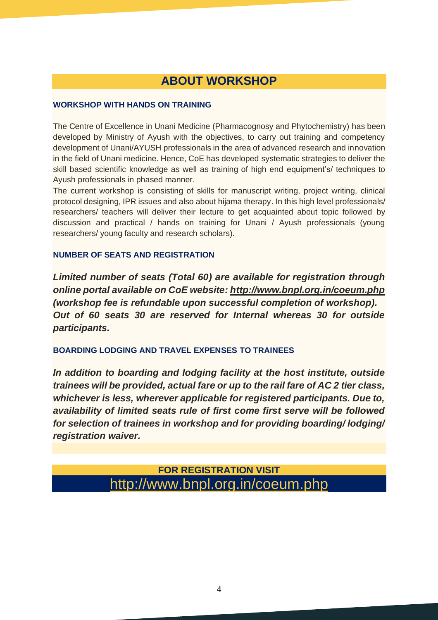# **ABOUT WORKSHOP**

#### **WORKSHOP WITH HANDS ON TRAINING**

The Centre of Excellence in Unani Medicine (Pharmacognosy and Phytochemistry) has been developed by Ministry of Ayush with the objectives, to carry out training and competency development of Unani/AYUSH professionals in the area of advanced research and innovation in the field of Unani medicine. Hence, CoE has developed systematic strategies to deliver the skill based scientific knowledge as well as training of high end equipment's/ techniques to Ayush professionals in phased manner.

The current workshop is consisting of skills for manuscript writing, project writing, clinical protocol designing, IPR issues and also about hijama therapy. In this high level professionals/ researchers/ teachers will deliver their lecture to get acquainted about topic followed by discussion and practical / hands on training for Unani / Ayush professionals (young researchers/ young faculty and research scholars).

#### **NUMBER OF SEATS AND REGISTRATION**

*Limited number of seats (Total 60) are available for registration through online portal available on CoE website:<http://www.bnpl.org.in/coeum.php> (workshop fee is refundable upon successful completion of workshop). Out of 60 seats 30 are reserved for Internal whereas 30 for outside participants.*

#### **BOARDING LODGING AND TRAVEL EXPENSES TO TRAINEES**

*In addition to boarding and lodging facility at the host institute, outside trainees will be provided, actual fare or up to the rail fare of AC 2 tier class, whichever is less, wherever applicable for registered participants. Due to, availability of limited seats rule of first come first serve will be followed for selection of trainees in workshop and for providing boarding/ lodging/ registration waiver.*

#### **FOR REGISTRATION VISIT** <http://www.bnpl.org.in/coeum.php>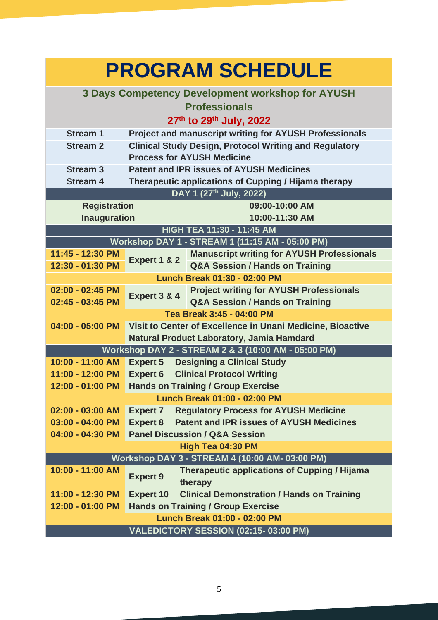| <b>PROGRAM SCHEDULE</b>                                 |                                                               |                                                                |
|---------------------------------------------------------|---------------------------------------------------------------|----------------------------------------------------------------|
| <b>3 Days Competency Development workshop for AYUSH</b> |                                                               |                                                                |
| <b>Professionals</b>                                    |                                                               |                                                                |
| 27th to 29th July, 2022                                 |                                                               |                                                                |
| <b>Stream 1</b>                                         | <b>Project and manuscript writing for AYUSH Professionals</b> |                                                                |
| <b>Stream 2</b>                                         | <b>Clinical Study Design, Protocol Writing and Regulatory</b> |                                                                |
|                                                         | <b>Process for AYUSH Medicine</b>                             |                                                                |
| <b>Stream 3</b>                                         | <b>Patent and IPR issues of AYUSH Medicines</b>               |                                                                |
| <b>Stream 4</b>                                         | Therapeutic applications of Cupping / Hijama therapy          |                                                                |
|                                                         | DAY 1 (27th July, 2022)                                       |                                                                |
| <b>Registration</b>                                     |                                                               | 09:00-10:00 AM                                                 |
| <b>Inauguration</b>                                     |                                                               | 10:00-11:30 AM<br>HIGH TEA 11:30 - 11:45 AM                    |
| Workshop DAY 1 - STREAM 1 (11:15 AM - 05:00 PM)         |                                                               |                                                                |
| 11:45 - 12:30 PM                                        |                                                               | <b>Manuscript writing for AYUSH Professionals</b>              |
| 12:30 - 01:30 PM                                        | Expert 1 & 2                                                  | <b>Q&amp;A Session / Hands on Training</b>                     |
|                                                         | <b>Lunch Break 01:30 - 02:00 PM</b>                           |                                                                |
| 02:00 - 02:45 PM                                        |                                                               | <b>Project writing for AYUSH Professionals</b>                 |
| 02:45 - 03:45 PM                                        | Expert 3 & 4                                                  | <b>Q&amp;A Session / Hands on Training</b>                     |
|                                                         | Tea Break 3:45 - 04:00 PM                                     |                                                                |
| 04:00 - 05:00 PM                                        | Visit to Center of Excellence in Unani Medicine, Bioactive    |                                                                |
|                                                         | Natural Product Laboratory, Jamia Hamdard                     |                                                                |
| Workshop DAY 2 - STREAM 2 & 3 (10:00 AM - 05:00 PM)     |                                                               |                                                                |
| 10:00 - 11:00 AM                                        |                                                               | <b>Expert 5</b> Designing a Clinical Study                     |
| 11:00 - 12:00 PM                                        | <b>Expert 6</b>                                               | <b>Clinical Protocol Writing</b>                               |
|                                                         | 12:00 - 01:00 PM Hands on Training / Group Exercise           |                                                                |
| Lunch Break 01:00 - 02:00 PM                            |                                                               |                                                                |
| $02:00 - 03:00$ AM                                      | <b>Expert 7</b>                                               | <b>Regulatory Process for AYUSH Medicine</b>                   |
| 03:00 - 04:00 PM                                        | <b>Expert 8</b>                                               | <b>Patent and IPR issues of AYUSH Medicines</b>                |
| 04:00 - 04:30 PM                                        | <b>Panel Discussion / Q&amp;A Session</b>                     |                                                                |
| High Tea 04:30 PM                                       |                                                               |                                                                |
| Workshop DAY 3 - STREAM 4 (10:00 AM- 03:00 PM)          |                                                               |                                                                |
| 10:00 - 11:00 AM                                        | <b>Expert 9</b>                                               | <b>Therapeutic applications of Cupping / Hijama</b><br>therapy |
| 11:00 - 12:30 PM                                        | <b>Expert 10</b>                                              | <b>Clinical Demonstration / Hands on Training</b>              |
| 12:00 - 01:00 PM                                        | <b>Hands on Training / Group Exercise</b>                     |                                                                |
| <b>Lunch Break 01:00 - 02:00 PM</b>                     |                                                               |                                                                |
| VALEDICTORY SESSION (02:15-03:00 PM)                    |                                                               |                                                                |